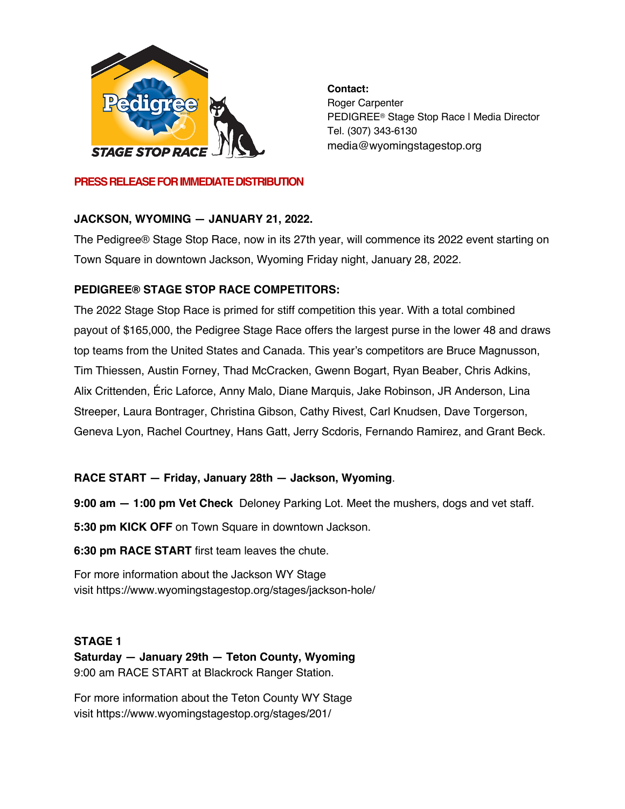

**Contact:** Roger Carpenter PEDIGREE® Stage Stop Race | Media Director Tel. (307) 343-6130 media@wyomingstagestop.org

#### **PRESS RELEASE FOR IMMEDIATE DISTRIBUTION**

## **JACKSON, WYOMING — JANUARY 21, 2022.**

The Pedigree® Stage Stop Race, now in its 27th year, will commence its 2022 event starting on Town Square in downtown Jackson, Wyoming Friday night, January 28, 2022.

## **PEDIGREE® STAGE STOP RACE COMPETITORS:**

The 2022 Stage Stop Race is primed for stiff competition this year. With a total combined payout of \$165,000, the Pedigree Stage Race offers the largest purse in the lower 48 and draws top teams from the United States and Canada. This year's competitors are Bruce Magnusson, Tim Thiessen, Austin Forney, Thad McCracken, Gwenn Bogart, Ryan Beaber, Chris Adkins, Alix Crittenden, Éric Laforce, Anny Malo, Diane Marquis, Jake Robinson, JR Anderson, Lina Streeper, Laura Bontrager, Christina Gibson, Cathy Rivest, Carl Knudsen, Dave Torgerson, Geneva Lyon, Rachel Courtney, Hans Gatt, Jerry Scdoris, Fernando Ramirez, and Grant Beck.

## **RACE START — Friday, January 28th — Jackson, Wyoming**.

**9:00 am — 1:00 pm Vet Check** Deloney Parking Lot. Meet the mushers, dogs and vet staff.

**5:30 pm KICK OFF** on Town Square in downtown Jackson.

**6:30 pm RACE START** first team leaves the chute.

For more information about the Jackson WY Stage visit https://www.wyomingstagestop.org/stages/jackson-hole/

## **STAGE 1**

**Saturday — January 29th — Teton County, Wyoming** 9:00 am RACE START at Blackrock Ranger Station.

For more information about the Teton County WY Stage visit https://www.wyomingstagestop.org/stages/201/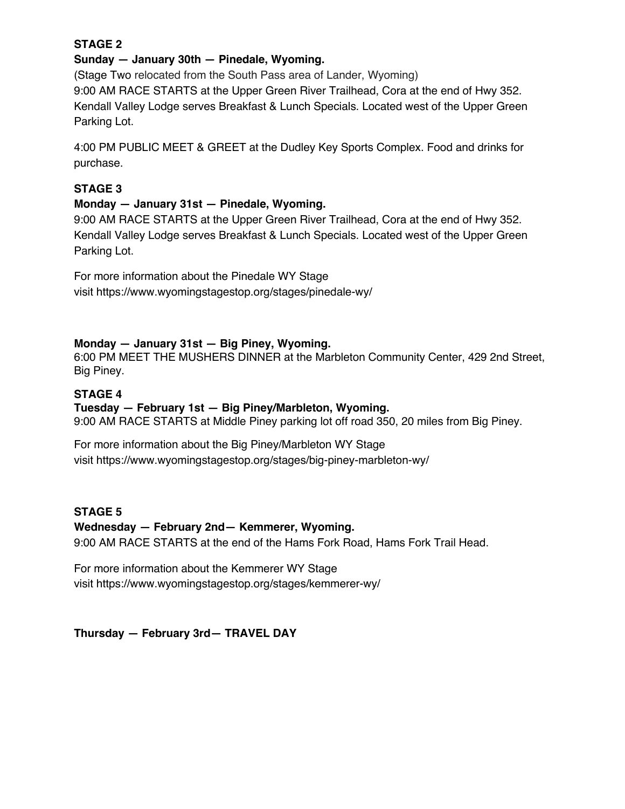## **STAGE 2**

#### **Sunday — January 30th — Pinedale, Wyoming.**

(Stage Two relocated from the South Pass area of Lander, Wyoming) 9:00 AM RACE STARTS at the Upper Green River Trailhead, Cora at the end of Hwy 352. Kendall Valley Lodge serves Breakfast & Lunch Specials. Located west of the Upper Green Parking Lot.

4:00 PM PUBLIC MEET & GREET at the Dudley Key Sports Complex. Food and drinks for purchase.

## **STAGE 3**

#### **Monday — January 31st — Pinedale, Wyoming.**

9:00 AM RACE STARTS at the Upper Green River Trailhead, Cora at the end of Hwy 352. Kendall Valley Lodge serves Breakfast & Lunch Specials. Located west of the Upper Green Parking Lot.

For more information about the Pinedale WY Stage visit https://www.wyomingstagestop.org/stages/pinedale-wy/

## **Monday — January 31st — Big Piney, Wyoming.**

6:00 PM MEET THE MUSHERS DINNER at the Marbleton Community Center, 429 2nd Street, Big Piney.

## **STAGE 4**

#### **Tuesday — February 1st — Big Piney/Marbleton, Wyoming.**

9:00 AM RACE STARTS at Middle Piney parking lot off road 350, 20 miles from Big Piney.

For more information about the Big Piney/Marbleton WY Stage visit https://www.wyomingstagestop.org/stages/big-piney-marbleton-wy/

## **STAGE 5**

#### **Wednesday — February 2nd— Kemmerer, Wyoming.**

9:00 AM RACE STARTS at the end of the Hams Fork Road, Hams Fork Trail Head.

For more information about the Kemmerer WY Stage visit https://www.wyomingstagestop.org/stages/kemmerer-wy/

**Thursday — February 3rd— TRAVEL DAY**